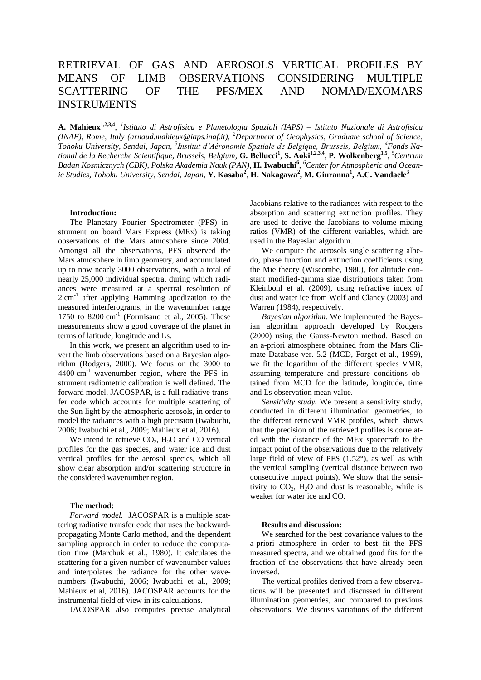# RETRIEVAL OF GAS AND AEROSOLS VERTICAL PROFILES BY MEANS OF LIMB OBSERVATIONS CONSIDERING MULTIPLE SCATTERING OF THE PFS/MEX AND NOMAD/EXOMARS INSTRUMENTS

**A. Mahieux1,2,3,4** , *1 Istituto di Astrofisica e Planetologia Spaziali (IAPS) – Istituto Nazionale di Astrofisica (INAF), Rome, Italy (arnaud.mahieux@iaps.inaf.it)*, *<sup>2</sup>Department of Geophysics, Graduate school of Science, Tohoku University, Sendai, Japan, <sup>3</sup> Institut d'Aéronomie Spatiale de Belgique, Brussels, Belgium, <sup>4</sup>Fonds Na*tional de la Recherche Scientifique, Brussels, Belgium, G. Bellucci<sup>1</sup>, S. Aoki<sup>1,2,3,4</sup>, P. Wolkenberg<sup>1,5</sup>, <sup>5</sup>Centrum Badan Kosmicznych (CBK), Polska Akademia Nauk (PAN), **H. Iwabuchi<sup>6</sup>**, <sup>6</sup> Center for Atmospheric and Ocean*ic Studies, Tohoku University, Sendai, Japan*, **Y. Kasaba<sup>2</sup>** , **H. Nakagawa<sup>2</sup> , M. Giuranna<sup>1</sup> , A.C. Vandaele<sup>3</sup>**

### **Introduction:**

The Planetary Fourier Spectrometer (PFS) instrument on board Mars Express (MEx) is taking observations of the Mars atmosphere since 2004. Amongst all the observations, PFS observed the Mars atmosphere in limb geometry, and accumulated up to now nearly 3000 observations, with a total of nearly 25,000 individual spectra, during which radiances were measured at a spectral resolution of 2 cm<sup>-1</sup> after applying Hamming apodization to the measured interferograms, in the wavenumber range 1750 to  $8200 \text{ cm}^{-1}$  (Formisano et al., 2005). These measurements show a good coverage of the planet in terms of latitude, longitude and Ls.

In this work, we present an algorithm used to invert the limb observations based on a Bayesian algorithm (Rodgers, 2000). We focus on the 3000 to  $4400 \text{ cm}^{-1}$  wavenumber region, where the PFS instrument radiometric calibration is well defined. The forward model, JACOSPAR, is a full radiative transfer code which accounts for multiple scattering of the Sun light by the atmospheric aerosols, in order to model the radiances with a high precision (Iwabuchi, 2006; Iwabuchi et al., 2009; Mahieux et al, 2016).

We intend to retrieve  $CO<sub>2</sub>$ , H<sub>2</sub>O and CO vertical profiles for the gas species, and water ice and dust vertical profiles for the aerosol species, which all show clear absorption and/or scattering structure in the considered wavenumber region.

#### **The method:**

*Forward model.* JACOSPAR is a multiple scattering radiative transfer code that uses the backwardpropagating Monte Carlo method, and the dependent sampling approach in order to reduce the computation time (Marchuk et al., 1980). It calculates the scattering for a given number of wavenumber values and interpolates the radiance for the other wavenumbers (Iwabuchi, 2006; Iwabuchi et al., 2009; Mahieux et al, 2016). JACOSPAR accounts for the instrumental field of view in its calculations.

JACOSPAR also computes precise analytical

Jacobians relative to the radiances with respect to the absorption and scattering extinction profiles. They are used to derive the Jacobians to volume mixing ratios (VMR) of the different variables, which are used in the Bayesian algorithm.

We compute the aerosols single scattering albedo, phase function and extinction coefficients using the Mie theory (Wiscombe, 1980), for altitude constant modified-gamma size distributions taken from Kleinbohl et al. (2009), using refractive index of dust and water ice from Wolf and Clancy (2003) and Warren (1984), respectively.

*Bayesian algorithm.* We implemented the Bayesian algorithm approach developed by Rodgers (2000) using the Gauss-Newton method. Based on an a-priori atmosphere obtained from the Mars Climate Database ver. 5.2 (MCD, Forget et al., 1999), we fit the logarithm of the different species VMR, assuming temperature and pressure conditions obtained from MCD for the latitude, longitude, time and Ls observation mean value.

*Sensitivity study.* We present a sensitivity study, conducted in different illumination geometries, to the different retrieved VMR profiles, which shows that the precision of the retrieved profiles is correlated with the distance of the MEx spacecraft to the impact point of the observations due to the relatively large field of view of PFS (1.52°), as well as with the vertical sampling (vertical distance between two consecutive impact points). We show that the sensitivity to  $CO<sub>2</sub>$ , H<sub>2</sub>O and dust is reasonable, while is weaker for water ice and CO.

# **Results and discussion:**

We searched for the best covariance values to the a-priori atmosphere in order to best fit the PFS measured spectra, and we obtained good fits for the fraction of the observations that have already been inversed.

The vertical profiles derived from a few observations will be presented and discussed in different illumination geometries, and compared to previous observations. We discuss variations of the different